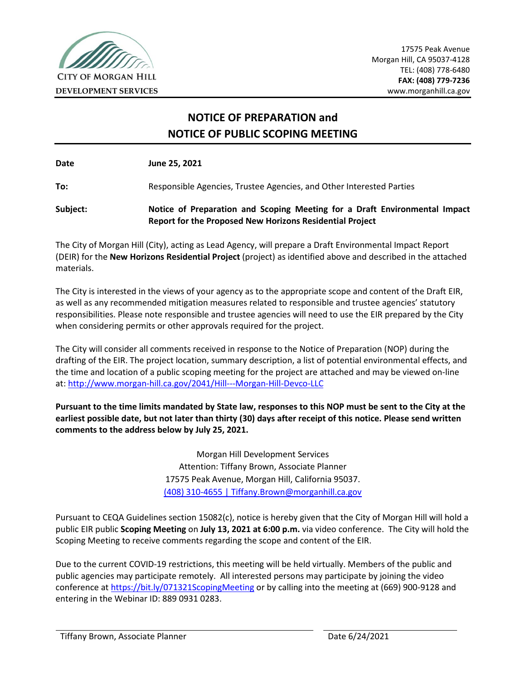

 17575 Peak Avenue Morgan Hill, CA 95037-4128 TEL: (408) 778-6480 **FAX: (408) 779-7236**

# **NOTICE OF PREPARATION and NOTICE OF PUBLIC SCOPING MEETING**

**Date June 25, 2021**

**To:** Responsible Agencies, Trustee Agencies, and Other Interested Parties

**Subject: Notice of Preparation and Scoping Meeting for a Draft Environmental Impact Report for the Proposed New Horizons Residential Project**

The City of Morgan Hill (City), acting as Lead Agency, will prepare a Draft Environmental Impact Report (DEIR) for the **New Horizons Residential Project** (project) as identified above and described in the attached materials.

The City is interested in the views of your agency as to the appropriate scope and content of the Draft EIR, as well as any recommended mitigation measures related to responsible and trustee agencies' statutory responsibilities. Please note responsible and trustee agencies will need to use the EIR prepared by the City when considering permits or other approvals required for the project.

The City will consider all comments received in response to the Notice of Preparation (NOP) during the drafting of the EIR. The project location, summary description, a list of potential environmental effects, and the time and location of a public scoping meeting for the project are attached and may be viewed on-line at:<http://www.morgan-hill.ca.gov/2041/Hill---Morgan-Hill-Devco-LLC>

**Pursuant to the time limits mandated by State law, responses to this NOP must be sent to the City at the earliest possible date, but not later than thirty (30) days after receipt of this notice. Please send written comments to the address below by July 25, 2021.**

> Morgan Hill Development Services Attention: Tiffany Brown, Associate Planner 17575 Peak Avenue, Morgan Hill, California 95037. (408) 310-4655 | [Tiffany.Brown@morganhill.ca.gov](mailto:Tiffany.Brown@morganhill.ca.gov)

Pursuant to CEQA Guidelines section 15082(c), notice is hereby given that the City of Morgan Hill will hold a public EIR public **Scoping Meeting** on **July 13, 2021 at 6:00 p.m.** via video conference. The City will hold the Scoping Meeting to receive comments regarding the scope and content of the EIR.

Due to the current COVID-19 restrictions, this meeting will be held virtually. Members of the public and public agencies may participate remotely. All interested persons may participate by joining the video conference at<https://bit.ly/071321ScopingMeeting> or by calling into the meeting at (669) 900-9128 and entering in the Webinar ID: 889 0931 0283.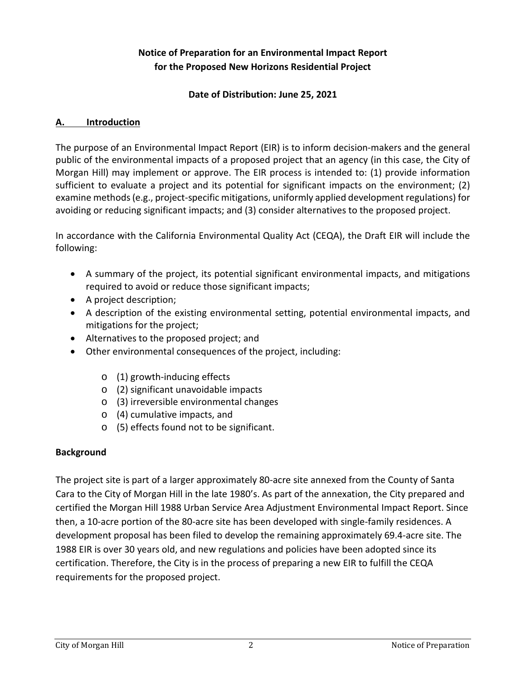### **Notice of Preparation for an Environmental Impact Report for the Proposed New Horizons Residential Project**

#### **Date of Distribution: June 25, 2021**

#### **A. Introduction**

The purpose of an Environmental Impact Report (EIR) is to inform decision-makers and the general public of the environmental impacts of a proposed project that an agency (in this case, the City of Morgan Hill) may implement or approve. The EIR process is intended to: (1) provide information sufficient to evaluate a project and its potential for significant impacts on the environment; (2) examine methods (e.g., project-specific mitigations, uniformly applied development regulations) for avoiding or reducing significant impacts; and (3) consider alternatives to the proposed project.

In accordance with the California Environmental Quality Act (CEQA), the Draft EIR will include the following:

- A summary of the project, its potential significant environmental impacts, and mitigations required to avoid or reduce those significant impacts;
- A project description;
- A description of the existing environmental setting, potential environmental impacts, and mitigations for the project;
- Alternatives to the proposed project; and
- Other environmental consequences of the project, including:
	- o (1) growth-inducing effects
	- o (2) significant unavoidable impacts
	- o (3) irreversible environmental changes
	- o (4) cumulative impacts, and
	- o (5) effects found not to be significant.

#### **Background**

The project site is part of a larger approximately 80-acre site annexed from the County of Santa Cara to the City of Morgan Hill in the late 1980's. As part of the annexation, the City prepared and certified the Morgan Hill 1988 Urban Service Area Adjustment Environmental Impact Report. Since then, a 10-acre portion of the 80-acre site has been developed with single-family residences. A development proposal has been filed to develop the remaining approximately 69.4-acre site. The 1988 EIR is over 30 years old, and new regulations and policies have been adopted since its certification. Therefore, the City is in the process of preparing a new EIR to fulfill the CEQA requirements for the proposed project.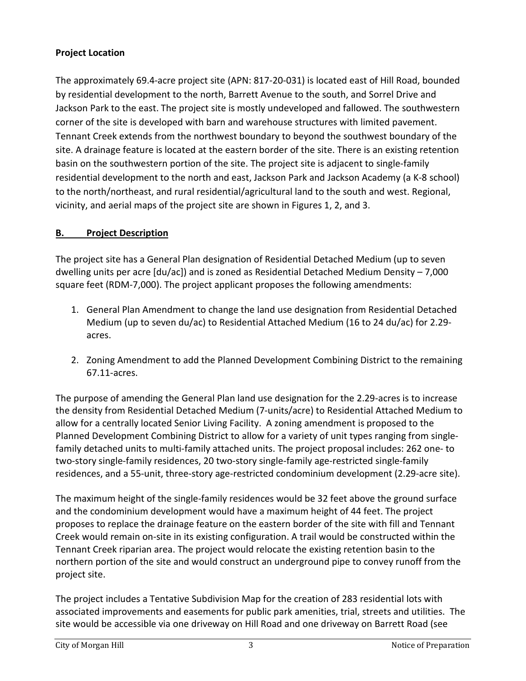### **Project Location**

The approximately 69.4-acre project site (APN: 817-20-031) is located east of Hill Road, bounded by residential development to the north, Barrett Avenue to the south, and Sorrel Drive and Jackson Park to the east. The project site is mostly undeveloped and fallowed. The southwestern corner of the site is developed with barn and warehouse structures with limited pavement. Tennant Creek extends from the northwest boundary to beyond the southwest boundary of the site. A drainage feature is located at the eastern border of the site. There is an existing retention basin on the southwestern portion of the site. The project site is adjacent to single-family residential development to the north and east, Jackson Park and Jackson Academy (a K-8 school) to the north/northeast, and rural residential/agricultural land to the south and west. Regional, vicinity, and aerial maps of the project site are shown in Figures 1, 2, and 3.

## **B. Project Description**

The project site has a General Plan designation of Residential Detached Medium (up to seven dwelling units per acre [du/ac]) and is zoned as Residential Detached Medium Density – 7,000 square feet (RDM-7,000). The project applicant proposes the following amendments:

- 1. General Plan Amendment to change the land use designation from Residential Detached Medium (up to seven du/ac) to Residential Attached Medium (16 to 24 du/ac) for 2.29 acres.
- 2. Zoning Amendment to add the Planned Development Combining District to the remaining 67.11-acres.

The purpose of amending the General Plan land use designation for the 2.29-acres is to increase the density from Residential Detached Medium (7-units/acre) to Residential Attached Medium to allow for a centrally located Senior Living Facility. A zoning amendment is proposed to the Planned Development Combining District to allow for a variety of unit types ranging from singlefamily detached units to multi-family attached units. The project proposal includes: 262 one- to two-story single-family residences, 20 two-story single-family age-restricted single-family residences, and a 55-unit, three-story age-restricted condominium development (2.29-acre site).

The maximum height of the single-family residences would be 32 feet above the ground surface and the condominium development would have a maximum height of 44 feet. The project proposes to replace the drainage feature on the eastern border of the site with fill and Tennant Creek would remain on-site in its existing configuration. A trail would be constructed within the Tennant Creek riparian area. The project would relocate the existing retention basin to the northern portion of the site and would construct an underground pipe to convey runoff from the project site.

The project includes a Tentative Subdivision Map for the creation of 283 residential lots with associated improvements and easements for public park amenities, trial, streets and utilities. The site would be accessible via one driveway on Hill Road and one driveway on Barrett Road (see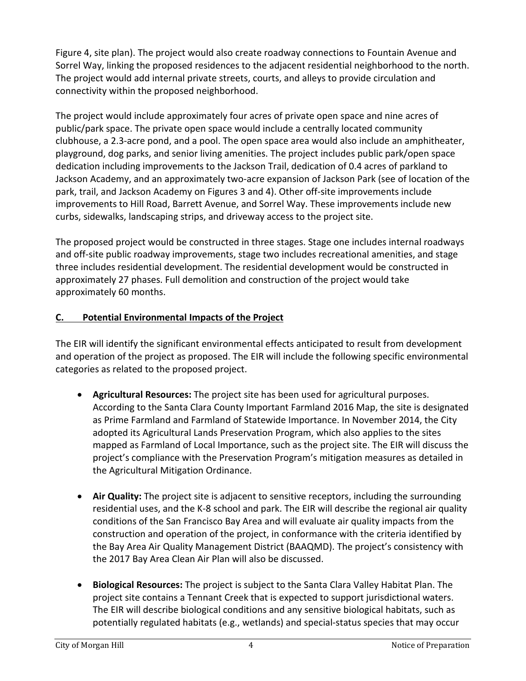Figure 4, site plan). The project would also create roadway connections to Fountain Avenue and Sorrel Way, linking the proposed residences to the adjacent residential neighborhood to the north. The project would add internal private streets, courts, and alleys to provide circulation and connectivity within the proposed neighborhood.

The project would include approximately four acres of private open space and nine acres of public/park space. The private open space would include a centrally located community clubhouse, a 2.3-acre pond, and a pool. The open space area would also include an amphitheater, playground, dog parks, and senior living amenities. The project includes public park/open space dedication including improvements to the Jackson Trail, dedication of 0.4 acres of parkland to Jackson Academy, and an approximately two-acre expansion of Jackson Park (see of location of the park, trail, and Jackson Academy on Figures 3 and 4). Other off-site improvements include improvements to Hill Road, Barrett Avenue, and Sorrel Way. These improvements include new curbs, sidewalks, landscaping strips, and driveway access to the project site.

The proposed project would be constructed in three stages. Stage one includes internal roadways and off-site public roadway improvements, stage two includes recreational amenities, and stage three includes residential development. The residential development would be constructed in approximately 27 phases. Full demolition and construction of the project would take approximately 60 months.

### **C. Potential Environmental Impacts of the Project**

The EIR will identify the significant environmental effects anticipated to result from development and operation of the project as proposed. The EIR will include the following specific environmental categories as related to the proposed project.

- **Agricultural Resources:** The project site has been used for agricultural purposes. According to the Santa Clara County Important Farmland 2016 Map, the site is designated as Prime Farmland and Farmland of Statewide Importance. In November 2014, the City adopted its Agricultural Lands Preservation Program, which also applies to the sites mapped as Farmland of Local Importance, such as the project site. The EIR will discuss the project's compliance with the Preservation Program's mitigation measures as detailed in the Agricultural Mitigation Ordinance.
- **Air Quality:** The project site is adjacent to sensitive receptors, including the surrounding residential uses, and the K-8 school and park. The EIR will describe the regional air quality conditions of the San Francisco Bay Area and will evaluate air quality impacts from the construction and operation of the project, in conformance with the criteria identified by the Bay Area Air Quality Management District (BAAQMD). The project's consistency with the 2017 Bay Area Clean Air Plan will also be discussed.
- **Biological Resources:** The project is subject to the Santa Clara Valley Habitat Plan. The project site contains a Tennant Creek that is expected to support jurisdictional waters. The EIR will describe biological conditions and any sensitive biological habitats, such as potentially regulated habitats (e.g., wetlands) and special-status species that may occur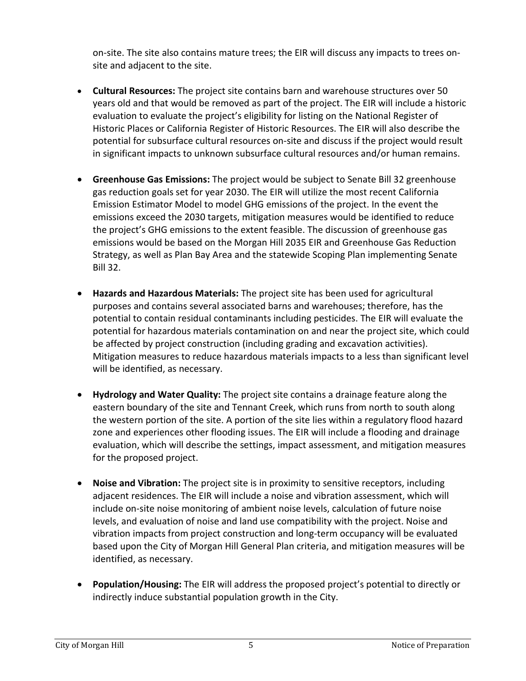on-site. The site also contains mature trees; the EIR will discuss any impacts to trees onsite and adjacent to the site.

- **Cultural Resources:** The project site contains barn and warehouse structures over 50 years old and that would be removed as part of the project. The EIR will include a historic evaluation to evaluate the project's eligibility for listing on the National Register of Historic Places or California Register of Historic Resources. The EIR will also describe the potential for subsurface cultural resources on-site and discuss if the project would result in significant impacts to unknown subsurface cultural resources and/or human remains.
- **Greenhouse Gas Emissions:** The project would be subject to Senate Bill 32 greenhouse gas reduction goals set for year 2030. The EIR will utilize the most recent California Emission Estimator Model to model GHG emissions of the project. In the event the emissions exceed the 2030 targets, mitigation measures would be identified to reduce the project's GHG emissions to the extent feasible. The discussion of greenhouse gas emissions would be based on the Morgan Hill 2035 EIR and Greenhouse Gas Reduction Strategy, as well as Plan Bay Area and the statewide Scoping Plan implementing Senate Bill 32.
- **Hazards and Hazardous Materials:** The project site has been used for agricultural purposes and contains several associated barns and warehouses; therefore, has the potential to contain residual contaminants including pesticides. The EIR will evaluate the potential for hazardous materials contamination on and near the project site, which could be affected by project construction (including grading and excavation activities). Mitigation measures to reduce hazardous materials impacts to a less than significant level will be identified, as necessary.
- **Hydrology and Water Quality:** The project site contains a drainage feature along the eastern boundary of the site and Tennant Creek, which runs from north to south along the western portion of the site. A portion of the site lies within a regulatory flood hazard zone and experiences other flooding issues. The EIR will include a flooding and drainage evaluation, which will describe the settings, impact assessment, and mitigation measures for the proposed project.
- **Noise and Vibration:** The project site is in proximity to sensitive receptors, including adjacent residences. The EIR will include a noise and vibration assessment, which will include on-site noise monitoring of ambient noise levels, calculation of future noise levels, and evaluation of noise and land use compatibility with the project. Noise and vibration impacts from project construction and long-term occupancy will be evaluated based upon the City of Morgan Hill General Plan criteria, and mitigation measures will be identified, as necessary.
- **Population/Housing:** The EIR will address the proposed project's potential to directly or indirectly induce substantial population growth in the City.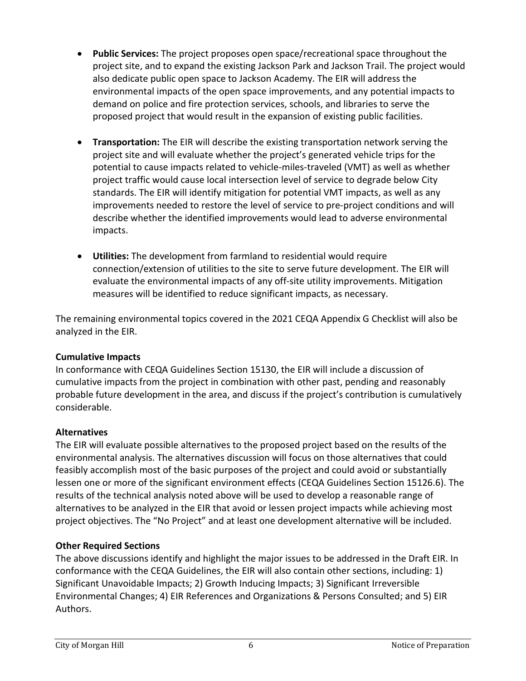- **Public Services:** The project proposes open space/recreational space throughout the project site, and to expand the existing Jackson Park and Jackson Trail. The project would also dedicate public open space to Jackson Academy. The EIR will address the environmental impacts of the open space improvements, and any potential impacts to demand on police and fire protection services, schools, and libraries to serve the proposed project that would result in the expansion of existing public facilities.
- **Transportation:** The EIR will describe the existing transportation network serving the project site and will evaluate whether the project's generated vehicle trips for the potential to cause impacts related to vehicle-miles-traveled (VMT) as well as whether project traffic would cause local intersection level of service to degrade below City standards. The EIR will identify mitigation for potential VMT impacts, as well as any improvements needed to restore the level of service to pre-project conditions and will describe whether the identified improvements would lead to adverse environmental impacts.
- **Utilities:** The development from farmland to residential would require connection/extension of utilities to the site to serve future development. The EIR will evaluate the environmental impacts of any off-site utility improvements. Mitigation measures will be identified to reduce significant impacts, as necessary.

The remaining environmental topics covered in the 2021 CEQA Appendix G Checklist will also be analyzed in the EIR.

#### **Cumulative Impacts**

In conformance with CEQA Guidelines Section 15130, the EIR will include a discussion of cumulative impacts from the project in combination with other past, pending and reasonably probable future development in the area, and discuss if the project's contribution is cumulatively considerable.

#### **Alternatives**

The EIR will evaluate possible alternatives to the proposed project based on the results of the environmental analysis. The alternatives discussion will focus on those alternatives that could feasibly accomplish most of the basic purposes of the project and could avoid or substantially lessen one or more of the significant environment effects (CEQA Guidelines Section 15126.6). The results of the technical analysis noted above will be used to develop a reasonable range of alternatives to be analyzed in the EIR that avoid or lessen project impacts while achieving most project objectives. The "No Project" and at least one development alternative will be included.

#### **Other Required Sections**

The above discussions identify and highlight the major issues to be addressed in the Draft EIR. In conformance with the CEQA Guidelines, the EIR will also contain other sections, including: 1) Significant Unavoidable Impacts; 2) Growth Inducing Impacts; 3) Significant Irreversible Environmental Changes; 4) EIR References and Organizations & Persons Consulted; and 5) EIR Authors.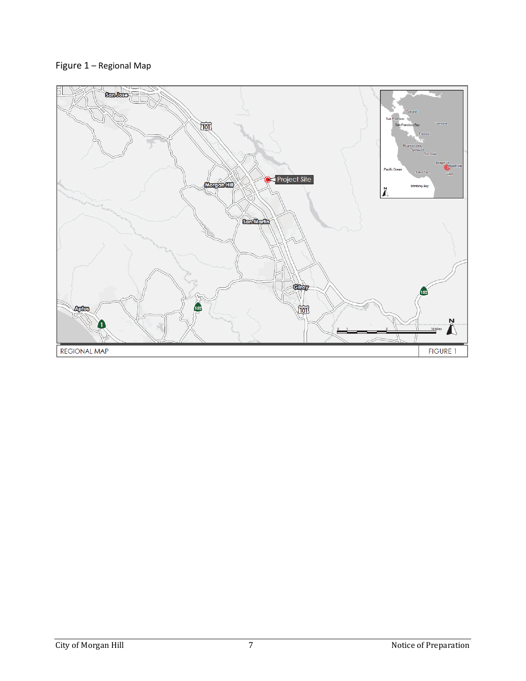### Figure 1 – Regional Map

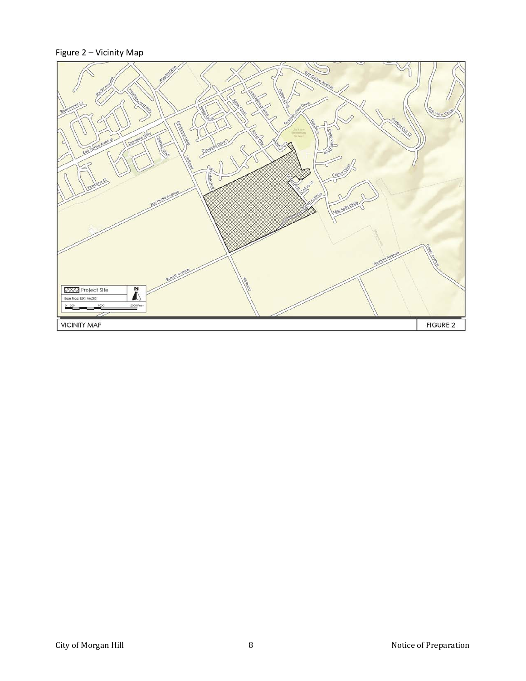### Figure 2 – Vicinity Map

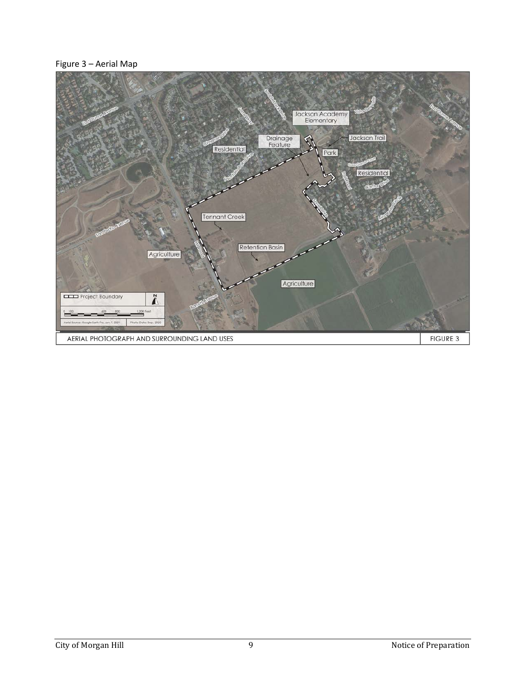#### Figure 3 – Aerial Map